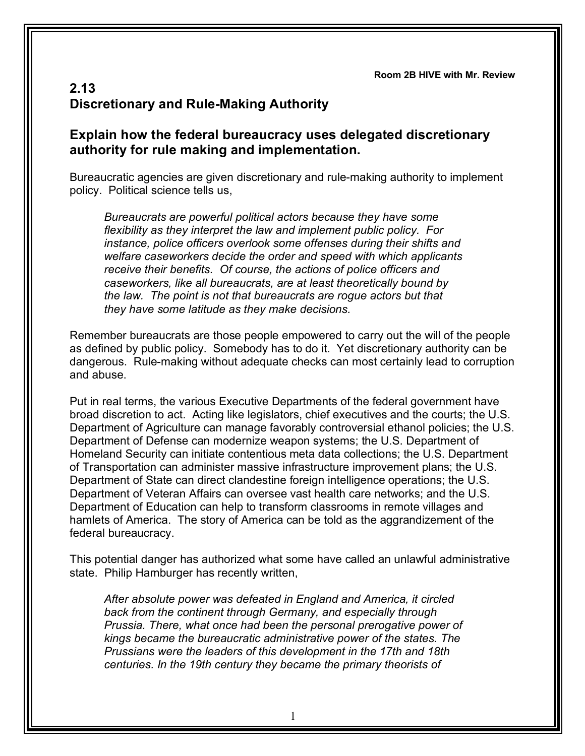## **2.13 Discretionary and Rule-Making Authority**

## **Explain how the federal bureaucracy uses delegated discretionary authority for rule making and implementation.**

Bureaucratic agencies are given discretionary and rule-making authority to implement policy. Political science tells us,

*Bureaucrats are powerful political actors because they have some flexibility as they interpret the law and implement public policy. For instance, police officers overlook some offenses during their shifts and welfare caseworkers decide the order and speed with which applicants receive their benefits. Of course, the actions of police officers and caseworkers, like all bureaucrats, are at least theoretically bound by the law. The point is not that bureaucrats are rogue actors but that they have some latitude as they make decisions.*

Remember bureaucrats are those people empowered to carry out the will of the people as defined by public policy. Somebody has to do it. Yet discretionary authority can be dangerous. Rule-making without adequate checks can most certainly lead to corruption and abuse.

Put in real terms, the various Executive Departments of the federal government have broad discretion to act. Acting like legislators, chief executives and the courts; the U.S. Department of Agriculture can manage favorably controversial ethanol policies; the U.S. Department of Defense can modernize weapon systems; the U.S. Department of Homeland Security can initiate contentious meta data collections; the U.S. Department of Transportation can administer massive infrastructure improvement plans; the U.S. Department of State can direct clandestine foreign intelligence operations; the U.S. Department of Veteran Affairs can oversee vast health care networks; and the U.S. Department of Education can help to transform classrooms in remote villages and hamlets of America. The story of America can be told as the aggrandizement of the federal bureaucracy.

This potential danger has authorized what some have called an unlawful administrative state. Philip Hamburger has recently written,

*After absolute power was defeated in England and America, it circled back from the continent through Germany, and especially through Prussia. There, what once had been the personal prerogative power of kings became the bureaucratic administrative power of the states. The Prussians were the leaders of this development in the 17th and 18th centuries. In the 19th century they became the primary theorists of*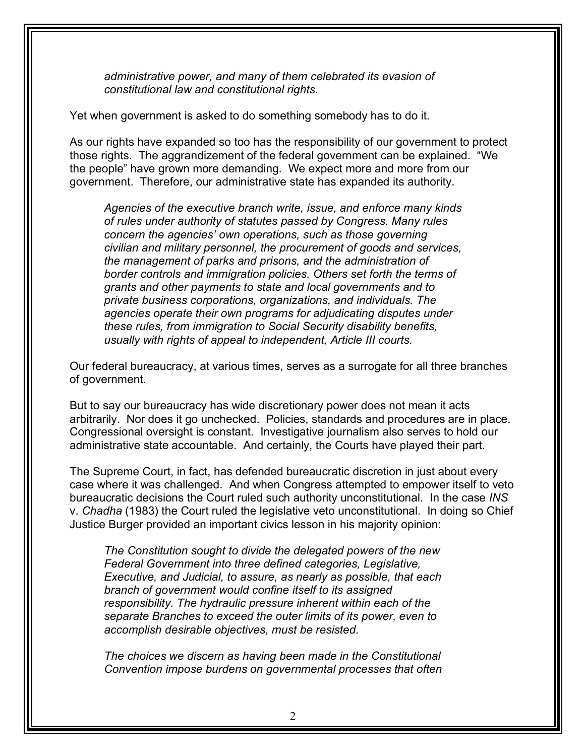*administrative power, and many of them celebrated its evasion of constitutional law and constitutional rights.*

Yet when government is asked to do something somebody has to do it.

As our rights have expanded so too has the responsibility of our government to protect those rights. The aggrandizement of the federal government can be explained. "We the people" have grown more demanding. We expect more and more from our government. Therefore, our administrative state has expanded its authority.

*Agencies of the executive branch write, issue, and enforce many kinds of rules under authority of statutes passed by Congress. Many rules concern the agencies' own operations, such as those governing civilian and military personnel, the procurement of goods and services, the management of parks and prisons, and the administration of border controls and immigration policies. Others set forth the terms of grants and other payments to state and local governments and to private business corporations, organizations, and individuals. The agencies operate their own programs for adjudicating disputes under these rules, from immigration to Social Security disability benefits, usually with rights of appeal to independent, Article III courts.*

Our federal bureaucracy, at various times, serves as a surrogate for all three branches of government.

But to say our bureaucracy has wide discretionary power does not mean it acts arbitrarily. Nor does it go unchecked. Policies, standards and procedures are in place. Congressional oversight is constant. Investigative journalism also serves to hold our administrative state accountable. And certainly, the Courts have played their part.

The Supreme Court, in fact, has defended bureaucratic discretion in just about every case where it was challenged. And when Congress attempted to empower itself to veto bureaucratic decisions the Court ruled such authority unconstitutional. In the case *INS* v. *Chadha* (1983) the Court ruled the legislative veto unconstitutional. In doing so Chief Justice Burger provided an important civics lesson in his majority opinion:

*The Constitution sought to divide the delegated powers of the new Federal Government into three defined categories, Legislative, Executive, and Judicial, to assure, as nearly as possible, that each branch of government would confine itself to its assigned responsibility. The hydraulic pressure inherent within each of the separate Branches to exceed the outer limits of its power, even to accomplish desirable objectives, must be resisted.*

*The choices we discern as having been made in the Constitutional Convention impose burdens on governmental processes that often*